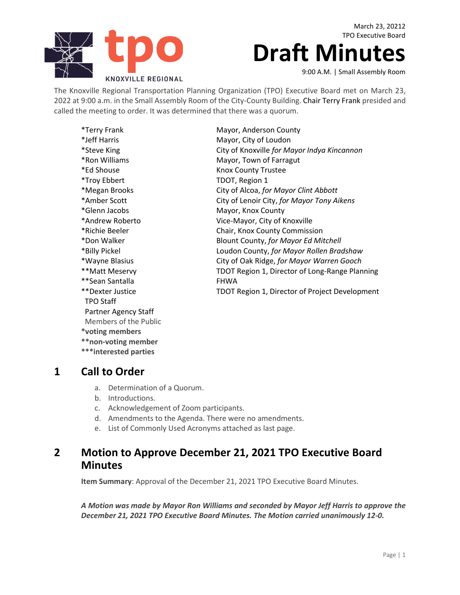

March 23, 20212 TPO Executive Board

# **Draft Minutes**

9:00 A.M. | Small Assembly Room

The Knoxville Regional Transportation Planning Organization (TPO) Executive Board met on March 23, 2022 at 9:00 a.m. in the Small Assembly Room of the City-County Building. Chair Terry Frank presided and called the meeting to order. It was determined that there was a quorum.

| Mayor, Anderson County<br>Mayor, City of Loudon<br>City of Knoxville for Mayor Indya Kincannon<br>Mayor, Town of Farragut |
|---------------------------------------------------------------------------------------------------------------------------|
|                                                                                                                           |
|                                                                                                                           |
|                                                                                                                           |
|                                                                                                                           |
| <b>Knox County Trustee</b>                                                                                                |
| TDOT, Region 1                                                                                                            |
| City of Alcoa, for Mayor Clint Abbott                                                                                     |
| City of Lenoir City, for Mayor Tony Aikens                                                                                |
| Mayor, Knox County                                                                                                        |
| Vice-Mayor, City of Knoxville                                                                                             |
| Chair, Knox County Commission                                                                                             |
| Blount County, for Mayor Ed Mitchell                                                                                      |
| Loudon County, for Mayor Rollen Bradshaw                                                                                  |
| City of Oak Ridge, for Mayor Warren Gooch                                                                                 |
| TDOT Region 1, Director of Long-Range Planning                                                                            |
| <b>FHWA</b>                                                                                                               |
| TDOT Region 1, Director of Project Development                                                                            |
|                                                                                                                           |
|                                                                                                                           |
|                                                                                                                           |
|                                                                                                                           |

**\*voting members**

- **\*\*non-voting member**
- **\*\*\*interested parties**

#### **1 Call to Order**

- a. Determination of a Quorum.
- b. Introductions.
- c. Acknowledgement of Zoom participants.
- d. Amendments to the Agenda. There were no amendments.
- e. List of Commonly Used Acronyms attached as last page.

### **2 Motion to Approve December 21, 2021 TPO Executive Board Minutes**

**Item Summary**: Approval of the December 21, 2021 TPO Executive Board Minutes.

*A Motion was made by Mayor Ron Williams and seconded by Mayor Jeff Harris to approve the December 21, 2021 TPO Executive Board Minutes. The Motion carried unanimously 12-0.*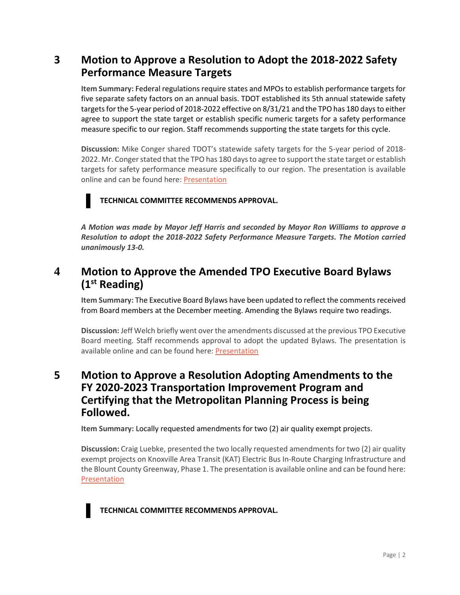## **3 Motion to Approve a Resolution to Adopt the 2018-2022 Safety Performance Measure Targets**

**Item Summary:** Federal regulations require states and MPOs to establish performance targets for five separate safety factors on an annual basis. TDOT established its 5th annual statewide safety targets for the 5-year period of 2018-2022 effective on 8/31/21 and the TPO has 180 days to either agree to support the state target or establish specific numeric targets for a safety performance measure specific to our region. Staff recommends supporting the state targets for this cycle.

**Discussion:** Mike Conger shared TDOT's statewide safety targets for the 5-year period of 2018- 2022. Mr. Conger stated that the TPO has 180 days to agree to support the state target or establish targets for safety performance measure specifically to our region. The presentation is available online and can be found here[: Presentation](https://knoxtpo.org/home/meetings/exec/agendas/2022/march/presentations/3.pdf)



#### **TECHNICAL COMMITTEE RECOMMENDS APPROVAL.**

*A Motion was made by Mayor Jeff Harris and seconded by Mayor Ron Williams to approve a Resolution to adopt the 2018-2022 Safety Performance Measure Targets. The Motion carried unanimously 13-0.*

# **4 Motion to Approve the Amended TPO Executive Board Bylaws (1st Reading)**

**Item Summary:** The Executive Board Bylaws have been updated to reflect the comments received from Board members at the December meeting. Amending the Bylaws require two readings.

**Discussion:** Jeff Welch briefly went over the amendments discussed at the previous TPO Executive Board meeting. Staff recommends approval to adopt the updated Bylaws. The presentation is available online and can be found here[: Presentation](https://knoxtpo.org/home/meetings/exec/agendas/2022/march/presentations/4.pdf)

### **5 Motion to Approve a Resolution Adopting Amendments to the FY 2020-2023 Transportation Improvement Program and Certifying that the Metropolitan Planning Process is being Followed.**

**Item Summary:** Locally requested amendments for two (2) air quality exempt projects.

**Discussion:** Craig Luebke, presented the two locally requested amendments for two (2) air quality exempt projects on Knoxville Area Transit (KAT) Electric Bus In-Route Charging Infrastructure and the Blount County Greenway, Phase 1. The presentation is available online and can be found here: [Presentation](https://knoxtpo.org/home/meetings/exec/agendas/2022/march/presentations/5.pdf)



**TECHNICAL COMMITTEE RECOMMENDS APPROVAL.**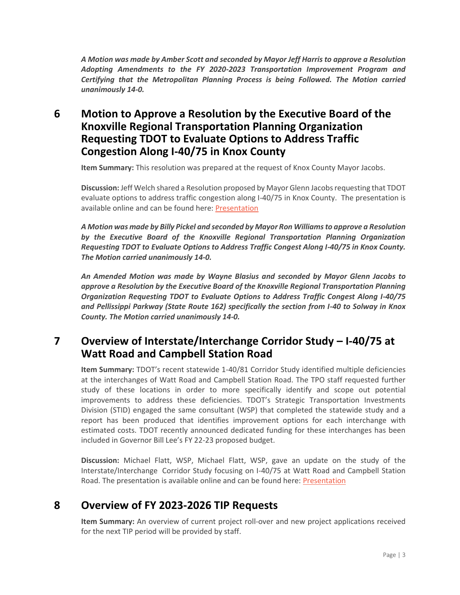*A Motion was made by Amber Scott and seconded by Mayor Jeff Harris to approve a Resolution Adopting Amendments to the FY 2020-2023 Transportation Improvement Program and Certifying that the Metropolitan Planning Process is being Followed. The Motion carried unanimously 14-0.*

# **6 Motion to Approve a Resolution by the Executive Board of the Knoxville Regional Transportation Planning Organization Requesting TDOT to Evaluate Options to Address Traffic Congestion Along I-40/75 in Knox County**

**Item Summary:** This resolution was prepared at the request of Knox County Mayor Jacobs.

**Discussion:** Jeff Welch shared a Resolution proposed by Mayor Glenn Jacobs requesting that TDOT evaluate options to address traffic congestion along I-40/75 in Knox County. The presentation is available online and can be found here[: Presentation](https://knoxtpo.org/home/meetings/exec/agendas/2022/march/presentations/6.pdf)

*A Motion was made by Billy Pickel and seconded by Mayor Ron Williams to approve a Resolution by the Executive Board of the Knoxville Regional Transportation Planning Organization Requesting TDOT to Evaluate Options to Address Traffic Congest Along I-40/75 in Knox County. The Motion carried unanimously 14-0.*

*An Amended Motion was made by Wayne Blasius and seconded by Mayor Glenn Jacobs to approve a Resolution by the Executive Board of the Knoxville Regional Transportation Planning Organization Requesting TDOT to Evaluate Options to Address Traffic Congest Along I-40/75 and Pellissippi Parkway (State Route 162) specifically the section from I-40 to Solway in Knox County. The Motion carried unanimously 14-0.*

### **7 Overview of Interstate/Interchange Corridor Study – I-40/75 at Watt Road and Campbell Station Road**

**Item Summary:** TDOT's recent statewide 1-40/81 Corridor Study identified multiple deficiencies at the interchanges of Watt Road and Campbell Station Road. The TPO staff requested further study of these locations in order to more specifically identify and scope out potential improvements to address these deficiencies. TDOT's Strategic Transportation Investments Division (STID) engaged the same consultant (WSP) that completed the statewide study and a report has been produced that identifies improvement options for each interchange with estimated costs. TDOT recently announced dedicated funding for these interchanges has been included in Governor Bill Lee's FY 22-23 proposed budget.

**Discussion:** Michael Flatt, WSP, Michael Flatt, WSP, gave an update on the study of the Interstate/Interchange Corridor Study focusing on I-40/75 at Watt Road and Campbell Station Road. The presentation is available online and can be found here: [Presentation](https://knoxtpo.org/home/meetings/exec/agendas/2022/march/presentations/7.pdf)

# **8 Overview of FY 2023-2026 TIP Requests**

**Item Summary:** An overview of current project roll-over and new project applications received for the next TIP period will be provided by staff.